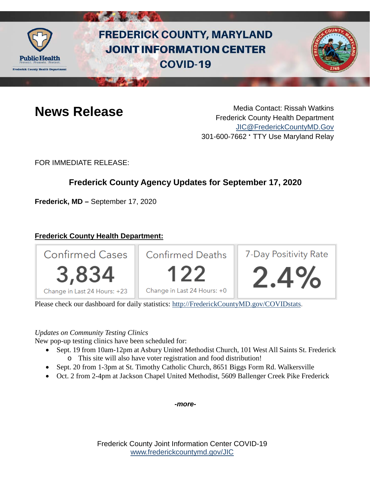

# **FREDERICK COUNTY, MARYLAND JOINT INFORMATION CENTER COVID-19**



**News Release** Media Contact: Rissah Watkins Frederick County Health Department [JIC@FrederickCountyMD.Gov](mailto:JIC@FrederickCountyMD.Gov) 301-600-7662 • TTY Use Maryland Relay

FOR IMMEDIATE RELEASE:

# **Frederick County Agency Updates for September 17, 2020**

**Frederick, MD –** September 17, 2020

# **Frederick County Health Department:**



Please check our dashboard for daily statistics: [http://FrederickCountyMD.gov/COVIDstats.](http://frederickcountymd.gov/COVIDstats)

### *Updates on Community Testing Clinics*

New pop-up testing clinics have been scheduled for:

- Sept. 19 from 10am-12pm at Asbury United Methodist Church, 101 West All Saints St. Frederick o This site will also have voter registration and food distribution!
- Sept. 20 from 1-3pm at St. Timothy Catholic Church, 8651 Biggs Form Rd. Walkersville
- Oct. 2 from 2-4pm at Jackson Chapel United Methodist, 5609 Ballenger Creek Pike Frederick

*-more-*